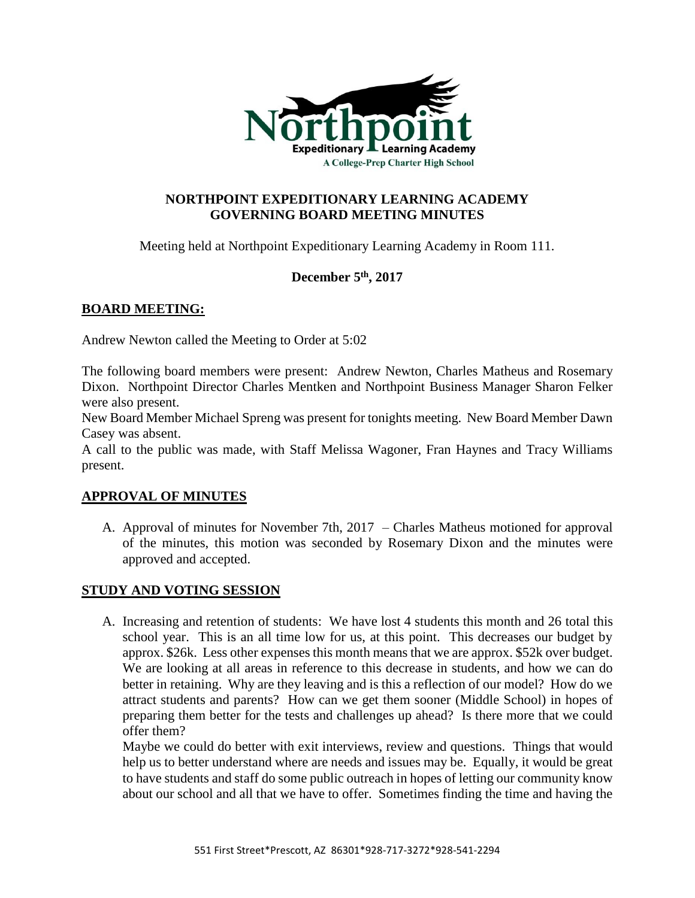

# **NORTHPOINT EXPEDITIONARY LEARNING ACADEMY GOVERNING BOARD MEETING MINUTES**

Meeting held at Northpoint Expeditionary Learning Academy in Room 111.

# **December 5th, 2017**

# **BOARD MEETING:**

Andrew Newton called the Meeting to Order at 5:02

The following board members were present: Andrew Newton, Charles Matheus and Rosemary Dixon. Northpoint Director Charles Mentken and Northpoint Business Manager Sharon Felker were also present.

New Board Member Michael Spreng was present for tonights meeting. New Board Member Dawn Casey was absent.

A call to the public was made, with Staff Melissa Wagoner, Fran Haynes and Tracy Williams present.

# **APPROVAL OF MINUTES**

A. Approval of minutes for November 7th, 2017 – Charles Matheus motioned for approval of the minutes, this motion was seconded by Rosemary Dixon and the minutes were approved and accepted.

#### **STUDY AND VOTING SESSION**

A. Increasing and retention of students: We have lost 4 students this month and 26 total this school year. This is an all time low for us, at this point. This decreases our budget by approx. \$26k. Less other expenses this month means that we are approx. \$52k over budget. We are looking at all areas in reference to this decrease in students, and how we can do better in retaining. Why are they leaving and is this a reflection of our model? How do we attract students and parents? How can we get them sooner (Middle School) in hopes of preparing them better for the tests and challenges up ahead? Is there more that we could offer them?

Maybe we could do better with exit interviews, review and questions. Things that would help us to better understand where are needs and issues may be. Equally, it would be great to have students and staff do some public outreach in hopes of letting our community know about our school and all that we have to offer. Sometimes finding the time and having the